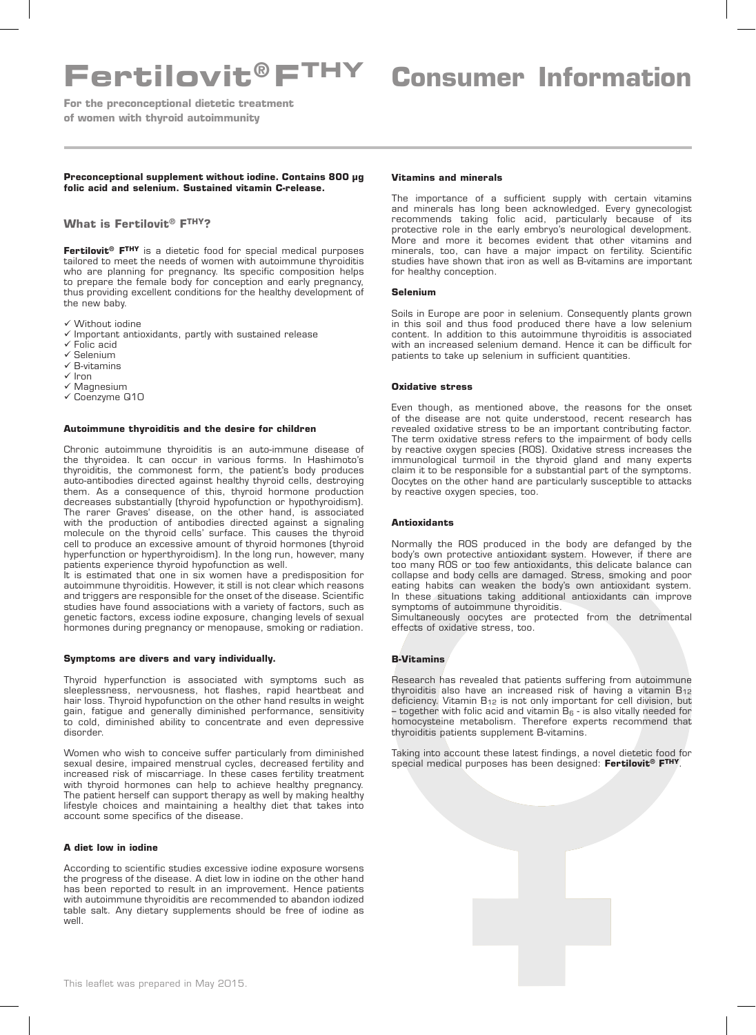# **Fertilovit® FTHY**

**For the preconceptional dietetic treatment of women with thyroid autoimmunity**

### **Preconceptional supplement without iodine. Contains 800 µg folic acid and selenium. Sustained vitamin C‑release.**

**What is Fertilovit® FTHY?**

**Fertilovit® FTHY** is a dietetic food for special medical purposes tailored to meet the needs of women with autoimmune thyroiditis who are planning for pregnancy. Its specific composition helps to prepare the female body for conception and early pregnancy, thus providing excellent conditions for the healthy development of the new baby.

- $\checkmark$  Without iodine
- $\checkmark$  Important antioxidants, partly with sustained release
- $\checkmark$  Folic acid
- $\checkmark$  Selenium
- $\checkmark$  B-vitamins  $\checkmark$  Iron
- 
- $\checkmark$  Magnesium
- $\checkmark$  Coenzyme Q10

# **Autoimmune thyroiditis and the desire for children**

Chronic autoimmune thyroiditis is an auto-immune disease of the thyroidea. It can occur in various forms. In Hashimoto's thyroiditis, the commonest form, the patient's body produces auto-antibodies directed against healthy thyroid cells, destroying them. As a consequence of this, thyroid hormone production decreases substantially (thyroid hypofunction or hypothyroidism). The rarer Graves' disease, on the other hand, is associated with the production of antibodies directed against a signaling molecule on the thyroid cells' surface. This causes the thyroid cell to produce an excessive amount of thyroid hormones (thyroid hyperfunction or hyperthyroidism). In the long run, however, many patients experience thyroid hypofunction as well.

It is estimated that one in six women have a predisposition for autoimmune thyroiditis. However, it still is not clear which reasons and triggers are responsible for the onset of the disease. Scientific studies have found associations with a variety of factors, such as genetic factors, excess iodine exposure, changing levels of sexual hormones during pregnancy or menopause, smoking or radiation.

### **Symptoms are divers and vary individually.**

Thyroid hyperfunction is associated with symptoms such as sleeplessness, nervousness, hot flashes, rapid heartbeat and hair loss. Thyroid hypofunction on the other hand results in weight gain, fatigue and generally diminished performance, sensitivity to cold, diminished ability to concentrate and even depressive disorder.

Women who wish to conceive suffer particularly from diminished sexual desire, impaired menstrual cycles, decreased fertility and increased risk of miscarriage. In these cases fertility treatment with thyroid hormones can help to achieve healthy pregnancy. The patient herself can support therapy as well by making healthy lifestyle choices and maintaining a healthy diet that takes into account some specifics of the disease.

### **A diet low in iodine**

According to scientific studies excessive iodine exposure worsens the progress of the disease. A diet low in iodine on the other hand has been reported to result in an improvement. Hence patients with autoimmune thyroiditis are recommended to abandon iodized table salt. Any dietary supplements should be free of iodine as well.

### **Vitamins and minerals**

The importance of a sufficient supply with certain vitamins and minerals has long been acknowledged. Every gynecologist recommends taking folic acid, particularly because of its protective role in the early embryo's neurological development. More and more it becomes evident that other vitamins and minerals, too, can have a major impact on fertility. Scientific studies have shown that iron as well as B-vitamins are important for healthy conception.

## **Selenium**

Soils in Europe are poor in selenium. Consequently plants grown in this soil and thus food produced there have a low selenium content. In addition to this autoimmune thyroiditis is associated with an increased selenium demand. Hence it can be difficult for patients to take up selenium in sufficient quantities.

## **Oxidative stress**

Even though, as mentioned above, the reasons for the onset of the disease are not quite understood, recent research has revealed oxidative stress to be an important contributing factor. The term oxidative stress refers to the impairment of body cells by reactive oxygen species (ROS). Oxidative stress increases the immunological turmoil in the thyroid gland and many experts claim it to be responsible for a substantial part of the symptoms. Oocytes on the other hand are particularly susceptible to attacks by reactive oxygen species, too.

### **Antioxidants**

Normally the ROS produced in the body are defanged by the body's own protective antioxidant system. However, if there are too many ROS or too few antioxidants, this delicate balance can collapse and body cells are damaged. Stress, smoking and poor eating habits can weaken the body's own antioxidant system. In these situations taking additional antioxidants can improve symptoms of autoimmune thyroiditis.

Simultaneously oocytes are protected from the detrimental effects of oxidative stress, too.

### **B-Vitamins**

Research has revealed that patients suffering from autoimmune thyroiditis also have an increased risk of having a vitamin  $B_{12}$ deficiency. Vitamin B12 is not only important for cell division, but - together with folic acid and vitamin  $\mathsf{B}_6$  - is also vitally needed for homocysteine metabolism. Therefore experts recommend that thyroiditis patients supplement B-vitamins.

Taking into account these latest findings, a novel dietetic food for special medical purposes has been designed: **Fertilovit® FTHY**.